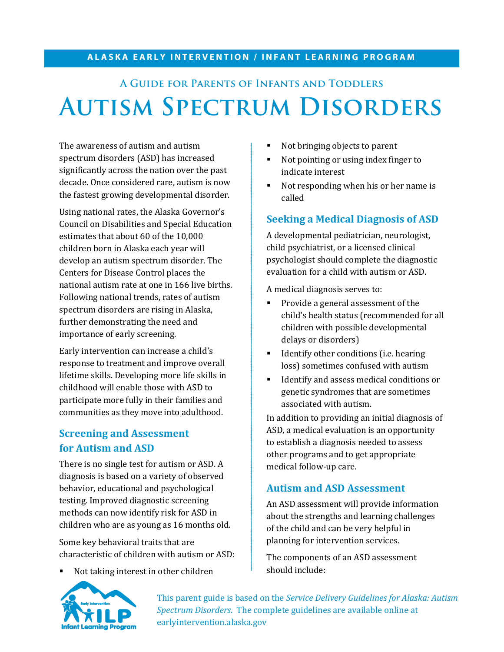#### **ALASKA EARLY INTERVENTION / INFANT LEARNING PROGRAM**

# **A Guide for Parents of Infants and Toddlers Autism Spectrum Disorders**

The awareness of autism and autism spectrum disorders (ASD) has increased significantly across the nation over the past decade. Once considered rare, autism is now the fastest growing developmental disorder.

Using national rates, the Alaska Governor's Council on Disabilities and Special Education estimates that about 60 of the 10,000 children born in Alaska each year will develop an autism spectrum disorder. The Centers for Disease Control places the national autism rate at one in 166 live births. Following national trends, rates of autism spectrum disorders are rising in Alaska, further demonstrating the need and importance of early screening.

Early intervention can increase a child's response to treatment and improve overall lifetime skills. Developing more life skills in childhood will enable those with ASD to participate more fully in their families and communities as they move into adulthood.

## **Screening and Assessment for Autism and ASD**

There is no single test for autism or ASD. A diagnosis is based on a variety of observed behavior, educational and psychological testing. Improved diagnostic screening methods can now identify risk for ASD in children who are as young as 16 months old.

Some key behavioral traits that are characteristic of children with autism or ASD:

Not taking interest in other children

- Not bringing objects to parent
- Not pointing or using index finger to indicate interest
- Not responding when his or her name is called

### **Seeking a Medical Diagnosis of ASD**

A developmental pediatrician, neurologist, child psychiatrist, or a licensed clinical psychologist should complete the diagnostic evaluation for a child with autism or ASD.

A medical diagnosis serves to:

- **Provide a general assessment of the** child's health status (recommended for all children with possible developmental delays or disorders)
- Identify other conditions (i.e. hearing loss) sometimes confused with autism
- **IDENTIFY AND ASSESS MEDICAL CONDUCTS ARE:** I Identify and assess medical conditions or genetic syndromes that are sometimes associated with autism.

In addition to providing an initial diagnosis of ASD, a medical evaluation is an opportunity to establish a diagnosis needed to assess other programs and to get appropriate medical follow-up care.

#### **Autism and ASD Assessment**

An ASD assessment will provide information about the strengths and learning challenges of the child and can be very helpful in planning for intervention services.

The components of an ASD assessment should include:



This parent guide is based on the *Service Delivery Guidelines for Alaska: Autism Spectrum Disorders*. The complete guidelines are available online at earlyintervention.alaska.gov